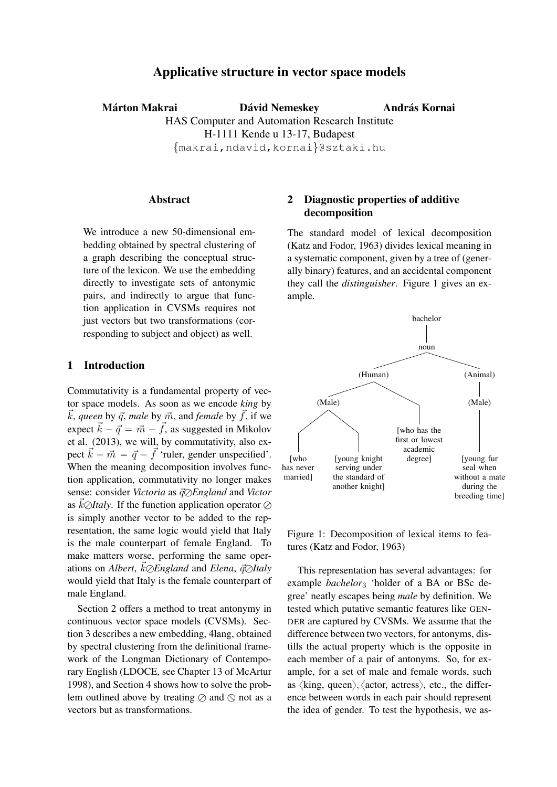# Applicative structure in vector space models

Márton Makrai **Dávid Nemeskey** HAS Computer and Automation Research Institute H-1111 Kende u 13-17, Budapest {makrai,ndavid,kornai}@sztaki.hu András Kornai

### Abstract

We introduce a new 50-dimensional embedding obtained by spectral clustering of a graph describing the conceptual structure of the lexicon. We use the embedding directly to investigate sets of antonymic pairs, and indirectly to argue that function application in CVSMs requires not just vectors but two transformations (corresponding to subject and object) as well.

## 1 Introduction

Commutativity is a fundamental property of vector space models. As soon as we encode *king* by  $\vec{k}$ , *queen* by  $\vec{q}$ , *male* by  $\vec{m}$ , and *female* by  $\vec{f}$ , if we expect  $\vec{k} - \vec{q} = \vec{m} - \vec{f}$ , as suggested in Mikolov et al. (2013), we will, by commutativity, also expect  $\vec{k} - \vec{m} = \vec{q} - \vec{f}$  'ruler, gender unspecified'. When the meaning decomposition involves function application, commutativity no longer makes sense: consider *Victoria* as  $\vec{q}$  $\oslash$ *England* and *Victor* as  $k\oslash$ *Italy*. If the function application operator  $\oslash$ is simply another vector to be added to the representation, the same logic would yield that Italy is the male counterpart of female England. To make matters worse, performing the same operations on *Albert*,  $\vec{k} \oslash$ *England* and *Elena*,  $\vec{q} \oslash$ *Italy* would yield that Italy is the female counterpart of male England.

Section 2 offers a method to treat antonymy in continuous vector space models (CVSMs). Section 3 describes a new embedding, 4lang, obtained by spectral clustering from the definitional framework of the Longman Dictionary of Contemporary English (LDOCE, see Chapter 13 of McArtur 1998), and Section 4 shows how to solve the problem outlined above by treating  $\oslash$  and  $\oslash$  not as a vectors but as transformations.

# 2 Diagnostic properties of additive decomposition

The standard model of lexical decomposition (Katz and Fodor, 1963) divides lexical meaning in a systematic component, given by a tree of (generally binary) features, and an accidental component they call the *distinguisher*. Figure 1 gives an example.



Figure 1: Decomposition of lexical items to features (Katz and Fodor, 1963)

This representation has several advantages: for example *bachelor*<sup>3</sup> 'holder of a BA or BSc degree' neatly escapes being *male* by definition. We tested which putative semantic features like GEN-DER are captured by CVSMs. We assume that the difference between two vectors, for antonyms, distills the actual property which is the opposite in each member of a pair of antonyms. So, for example, for a set of male and female words, such as  $\langle$ king, queen $\rangle$ ,  $\langle$  actor, actress $\rangle$ , etc., the difference between words in each pair should represent the idea of gender. To test the hypothesis, we as-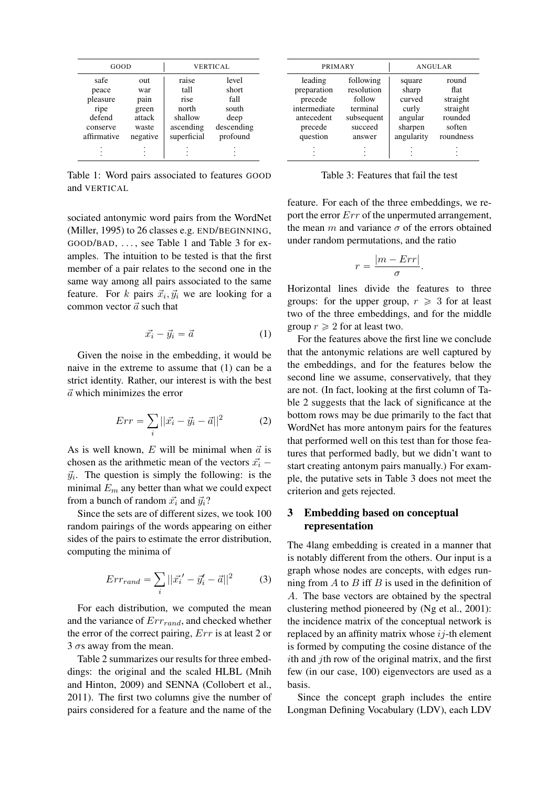| GOOD        |          | <b>VERTICAL</b> |            |  |  |
|-------------|----------|-----------------|------------|--|--|
| safe        | out      | raise           | level      |  |  |
| peace       | war      | tall            | short      |  |  |
| pleasure    | pain     | rise            | fall       |  |  |
| ripe        | green    | north           | south      |  |  |
| defend      | attack   | shallow         | deep       |  |  |
| conserve    | waste    | ascending       | descending |  |  |
| affirmative | negative | superficial     | profound   |  |  |
|             |          |                 |            |  |  |
|             |          |                 |            |  |  |

Table 1: Word pairs associated to features GOOD and VERTICAL

sociated antonymic word pairs from the WordNet (Miller, 1995) to 26 classes e.g. END/BEGINNING, GOOD/BAD, . . . , see Table 1 and Table 3 for examples. The intuition to be tested is that the first member of a pair relates to the second one in the same way among all pairs associated to the same feature. For k pairs  $\vec{x}_i, \vec{y}_i$  we are looking for a common vector  $\vec{a}$  such that

$$
\vec{x_i} - \vec{y_i} = \vec{a} \tag{1}
$$

Given the noise in the embedding, it would be naive in the extreme to assume that (1) can be a strict identity. Rather, our interest is with the best  $\vec{a}$  which minimizes the error

$$
Err = \sum_{i} ||\vec{x_i} - \vec{y_i} - \vec{a}||^2
$$
 (2)

As is well known, E will be minimal when  $\vec{a}$  is chosen as the arithmetic mean of the vectors  $\vec{x_i}$  –  $\vec{y}_i$ . The question is simply the following: is the minimal  $E_m$  any better than what we could expect from a bunch of random  $\vec{x_i}$  and  $\vec{y_i}$ ?

Since the sets are of different sizes, we took 100 random pairings of the words appearing on either sides of the pairs to estimate the error distribution, computing the minima of

$$
Err_{rand} = \sum_{i} ||\vec{x_i'} - \vec{y_i'} - \vec{a}||^2
$$
 (3)

For each distribution, we computed the mean and the variance of  $Err_{rand}$ , and checked whether the error of the correct pairing, Err is at least 2 or 3  $\sigma$ s away from the mean.

Table 2 summarizes our results for three embeddings: the original and the scaled HLBL (Mnih and Hinton, 2009) and SENNA (Collobert et al., 2011). The first two columns give the number of pairs considered for a feature and the name of the

| PRIMARY                                                                    |                                                                        | ANGULAR                                                  |                                                            |  |  |
|----------------------------------------------------------------------------|------------------------------------------------------------------------|----------------------------------------------------------|------------------------------------------------------------|--|--|
| leading<br>preparation<br>precede<br>intermediate<br>antecedent<br>precede | following<br>resolution<br>follow<br>terminal<br>subsequent<br>succeed | square<br>sharp<br>curved<br>curly<br>angular<br>sharpen | round<br>flat<br>straight<br>straight<br>rounded<br>soften |  |  |
| question                                                                   | answer                                                                 | angularity                                               | roundness                                                  |  |  |
|                                                                            |                                                                        |                                                          |                                                            |  |  |

Table 3: Features that fail the test

feature. For each of the three embeddings, we report the error  $Err$  of the unpermuted arrangement, the mean m and variance  $\sigma$  of the errors obtained under random permutations, and the ratio

$$
r = \frac{|m - Err|}{\sigma}.
$$

Horizontal lines divide the features to three groups: for the upper group,  $r \geq 3$  for at least two of the three embeddings, and for the middle group  $r \geqslant 2$  for at least two.

For the features above the first line we conclude that the antonymic relations are well captured by the embeddings, and for the features below the second line we assume, conservatively, that they are not. (In fact, looking at the first column of Table 2 suggests that the lack of significance at the bottom rows may be due primarily to the fact that WordNet has more antonym pairs for the features that performed well on this test than for those features that performed badly, but we didn't want to start creating antonym pairs manually.) For example, the putative sets in Table 3 does not meet the criterion and gets rejected.

## 3 Embedding based on conceptual representation

The 4lang embedding is created in a manner that is notably different from the others. Our input is a graph whose nodes are concepts, with edges running from  $A$  to  $B$  iff  $B$  is used in the definition of A. The base vectors are obtained by the spectral clustering method pioneered by (Ng et al., 2001): the incidence matrix of the conceptual network is replaced by an affinity matrix whose  $i_j$ -th element is formed by computing the cosine distance of the ith and jth row of the original matrix, and the first few (in our case, 100) eigenvectors are used as a basis.

Since the concept graph includes the entire Longman Defining Vocabulary (LDV), each LDV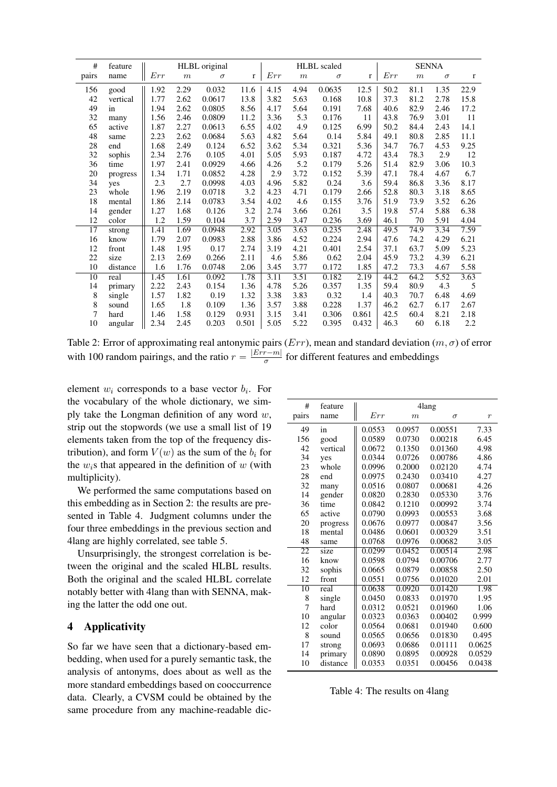| #               | feature  | HLBL original |      |          | <b>HLBL</b> scaled |      |                  | <b>SENNA</b> |       |      |                  |          |             |
|-----------------|----------|---------------|------|----------|--------------------|------|------------------|--------------|-------|------|------------------|----------|-------------|
| pairs           | name     | Err           | m    | $\sigma$ | r                  | Err  | $\boldsymbol{m}$ | $\sigma$     | r     | Err  | $\boldsymbol{m}$ | $\sigma$ | $\mathbf r$ |
| 156             | good     | 1.92          | 2.29 | 0.032    | 11.6               | 4.15 | 4.94             | 0.0635       | 12.5  | 50.2 | 81.1             | 1.35     | 22.9        |
| 42              | vertical | 1.77          | 2.62 | 0.0617   | 13.8               | 3.82 | 5.63             | 0.168        | 10.8  | 37.3 | 81.2             | 2.78     | 15.8        |
| 49              | in       | 1.94          | 2.62 | 0.0805   | 8.56               | 4.17 | 5.64             | 0.191        | 7.68  | 40.6 | 82.9             | 2.46     | 17.2        |
| 32              | many     | 1.56          | 2.46 | 0.0809   | 11.2               | 3.36 | 5.3              | 0.176        | 11    | 43.8 | 76.9             | 3.01     | 11          |
| 65              | active   | 1.87          | 2.27 | 0.0613   | 6.55               | 4.02 | 4.9              | 0.125        | 6.99  | 50.2 | 84.4             | 2.43     | 14.1        |
| 48              | same     | 2.23          | 2.62 | 0.0684   | 5.63               | 4.82 | 5.64             | 0.14         | 5.84  | 49.1 | 80.8             | 2.85     | 11.1        |
| 28              | end      | 1.68          | 2.49 | 0.124    | 6.52               | 3.62 | 5.34             | 0.321        | 5.36  | 34.7 | 76.7             | 4.53     | 9.25        |
| 32              | sophis   | 2.34          | 2.76 | 0.105    | 4.01               | 5.05 | 5.93             | 0.187        | 4.72  | 43.4 | 78.3             | 2.9      | 12          |
| 36              | time     | 1.97          | 2.41 | 0.0929   | 4.66               | 4.26 | 5.2              | 0.179        | 5.26  | 51.4 | 82.9             | 3.06     | 10.3        |
| 20              | progress | 1.34          | 1.71 | 0.0852   | 4.28               | 2.9  | 3.72             | 0.152        | 5.39  | 47.1 | 78.4             | 4.67     | 6.7         |
| 34              | yes      | 2.3           | 2.7  | 0.0998   | 4.03               | 4.96 | 5.82             | 0.24         | 3.6   | 59.4 | 86.8             | 3.36     | 8.17        |
| 23              | whole    | 1.96          | 2.19 | 0.0718   | 3.2                | 4.23 | 4.71             | 0.179        | 2.66  | 52.8 | 80.3             | 3.18     | 8.65        |
| 18              | mental   | 1.86          | 2.14 | 0.0783   | 3.54               | 4.02 | 4.6              | 0.155        | 3.76  | 51.9 | 73.9             | 3.52     | 6.26        |
| 14              | gender   | 1.27          | 1.68 | 0.126    | 3.2                | 2.74 | 3.66             | 0.261        | 3.5   | 19.8 | 57.4             | 5.88     | 6.38        |
| 12              | color    | 1.2           | 1.59 | 0.104    | 3.7                | 2.59 | 3.47             | 0.236        | 3.69  | 46.1 | 70               | 5.91     | 4.04        |
| $\overline{17}$ | strong   | 1.41          | 1.69 | 0.0948   | 2.92               | 3.05 | 3.63             | 0.235        | 2.48  | 49.5 | 74.9             | 3.34     | 7.59        |
| 16              | know     | 1.79          | 2.07 | 0.0983   | 2.88               | 3.86 | 4.52             | 0.224        | 2.94  | 47.6 | 74.2             | 4.29     | 6.21        |
| 12              | front    | 1.48          | 1.95 | 0.17     | 2.74               | 3.19 | 4.21             | 0.401        | 2.54  | 37.1 | 63.7             | 5.09     | 5.23        |
| 22              | size     | 2.13          | 2.69 | 0.266    | 2.11               | 4.6  | 5.86             | 0.62         | 2.04  | 45.9 | 73.2             | 4.39     | 6.21        |
| 10              | distance | 1.6           | 1.76 | 0.0748   | 2.06               | 3.45 | 3.77             | 0.172        | 1.85  | 47.2 | 73.3             | 4.67     | 5.58        |
| $\overline{10}$ | real     | 1.45          | 1.61 | 0.092    | 1.78               | 3.11 | 3.51             | 0.182        | 2.19  | 44.2 | 64.2             | 5.52     | 3.63        |
| 14              | primary  | 2.22          | 2.43 | 0.154    | 1.36               | 4.78 | 5.26             | 0.357        | 1.35  | 59.4 | 80.9             | 4.3      | 5           |
| 8               | single   | 1.57          | 1.82 | 0.19     | 1.32               | 3.38 | 3.83             | 0.32         | 1.4   | 40.3 | 70.7             | 6.48     | 4.69        |
| 8               | sound    | 1.65          | 1.8  | 0.109    | 1.36               | 3.57 | 3.88             | 0.228        | 1.37  | 46.2 | 62.7             | 6.17     | 2.67        |
| 7               | hard     | 1.46          | 1.58 | 0.129    | 0.931              | 3.15 | 3.41             | 0.306        | 0.861 | 42.5 | 60.4             | 8.21     | 2.18        |
| 10              | angular  | 2.34          | 2.45 | 0.203    | 0.501              | 5.05 | 5.22             | 0.395        | 0.432 | 46.3 | 60               | 6.18     | 2.2         |

Table 2: Error of approximating real antonymic pairs  $(Err)$ , mean and standard deviation  $(m, \sigma)$  of error with 100 random pairings, and the ratio  $r = \frac{|Err - m|}{\sigma}$  $\frac{f-m_1}{\sigma}$  for different features and embeddings

element  $w_i$  corresponds to a base vector  $b_i$ . For the vocabulary of the whole dictionary, we simply take the Longman definition of any word  $w$ , strip out the stopwords (we use a small list of 19 elements taken from the top of the frequency distribution), and form  $V(w)$  as the sum of the  $b_i$  for the  $w_i$ s that appeared in the definition of w (with multiplicity).

We performed the same computations based on this embedding as in Section 2: the results are presented in Table 4. Judgment columns under the four three embeddings in the previous section and 4lang are highly correlated, see table 5.

Unsurprisingly, the strongest correlation is between the original and the scaled HLBL results. Both the original and the scaled HLBL correlate notably better with 4lang than with SENNA, making the latter the odd one out.

### 4 Applicativity

So far we have seen that a dictionary-based embedding, when used for a purely semantic task, the analysis of antonyms, does about as well as the more standard embeddings based on cooccurrence data. Clearly, a CVSM could be obtained by the same procedure from any machine-readable dic-

| #               | feature  | 4lang  |        |          |                  |  |  |
|-----------------|----------|--------|--------|----------|------------------|--|--|
| pairs           | name     | Err    | $_{m}$ | $\sigma$ | $\boldsymbol{r}$ |  |  |
| 49              | in       | 0.0553 | 0.0957 | 0.00551  | 7.33             |  |  |
| 156             | good     | 0.0589 | 0.0730 | 0.00218  | 6.45             |  |  |
| 42              | vertical | 0.0672 | 0.1350 | 0.01360  | 4.98             |  |  |
| 34              | yes      | 0.0344 | 0.0726 | 0.00786  | 4.86             |  |  |
| 23              | whole    | 0.0996 | 0.2000 | 0.02120  | 4.74             |  |  |
| 28              | end      | 0.0975 | 0.2430 | 0.03410  | 4.27             |  |  |
| 32              | many     | 0.0516 | 0.0807 | 0.00681  | 4.26             |  |  |
| 14              | gender   | 0.0820 | 0.2830 | 0.05330  | 3.76             |  |  |
| 36              | time     | 0.0842 | 0.1210 | 0.00992  | 3.74             |  |  |
| 65              | active   | 0.0790 | 0.0993 | 0.00553  | 3.68             |  |  |
| 20              | progress | 0.0676 | 0.0977 | 0.00847  | 3.56             |  |  |
| 18              | mental   | 0.0486 | 0.0601 | 0.00329  | 3.51             |  |  |
| 48              | same     | 0.0768 | 0.0976 | 0.00682  | 3.05             |  |  |
| $\overline{22}$ | size     | 0.0299 | 0.0452 | 0.00514  | 2.98             |  |  |
| 16              | know     | 0.0598 | 0.0794 | 0.00706  | 2.77             |  |  |
| 32              | sophis   | 0.0665 | 0.0879 | 0.00858  | 2.50             |  |  |
| 12              | front    | 0.0551 | 0.0756 | 0.01020  | 2.01             |  |  |
| $\overline{10}$ | real     | 0.0638 | 0.0920 | 0.01420  | 1.98             |  |  |
| 8               | single   | 0.0450 | 0.0833 | 0.01970  | 1.95             |  |  |
| 7               | hard     | 0.0312 | 0.0521 | 0.01960  | 1.06             |  |  |
| 10              | angular  | 0.0323 | 0.0363 | 0.00402  | 0.999            |  |  |
| 12              | color    | 0.0564 | 0.0681 | 0.01940  | 0.600            |  |  |
| 8               | sound    | 0.0565 | 0.0656 | 0.01830  | 0.495            |  |  |
| 17              | strong   | 0.0693 | 0.0686 | 0.01111  | 0.0625           |  |  |
| 14              | primary  | 0.0890 | 0.0895 | 0.00928  | 0.0529           |  |  |
| 10              | distance | 0.0353 | 0.0351 | 0.00456  | 0.0438           |  |  |

Table 4: The results on 4lang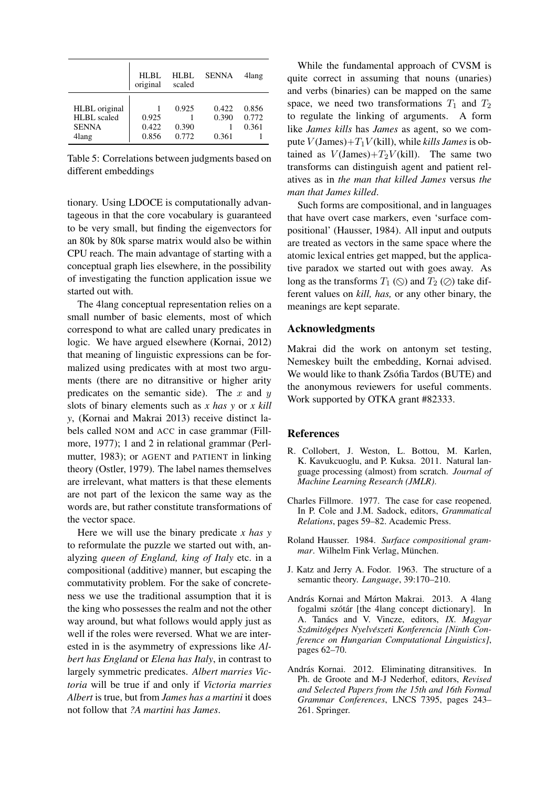|                                                              | HI.BL<br>original       | HLBL<br>scaled          | <b>SENNA</b>            | 4lang                   |
|--------------------------------------------------------------|-------------------------|-------------------------|-------------------------|-------------------------|
| HLBL original<br><b>HLBL</b> scaled<br><b>SENNA</b><br>4lang | 0.925<br>0.422<br>0.856 | 0.925<br>0.390<br>0.772 | 0.422<br>0.390<br>0.361 | 0.856<br>0.772<br>0.361 |

Table 5: Correlations between judgments based on different embeddings

tionary. Using LDOCE is computationally advantageous in that the core vocabulary is guaranteed to be very small, but finding the eigenvectors for an 80k by 80k sparse matrix would also be within CPU reach. The main advantage of starting with a conceptual graph lies elsewhere, in the possibility of investigating the function application issue we started out with.

The 4lang conceptual representation relies on a small number of basic elements, most of which correspond to what are called unary predicates in logic. We have argued elsewhere (Kornai, 2012) that meaning of linguistic expressions can be formalized using predicates with at most two arguments (there are no ditransitive or higher arity predicates on the semantic side). The  $x$  and  $y$ slots of binary elements such as *x has y* or *x kill y*, (Kornai and Makrai 2013) receive distinct labels called NOM and ACC in case grammar (Fillmore, 1977); 1 and 2 in relational grammar (Perlmutter, 1983); or AGENT and PATIENT in linking theory (Ostler, 1979). The label names themselves are irrelevant, what matters is that these elements are not part of the lexicon the same way as the words are, but rather constitute transformations of the vector space.

Here we will use the binary predicate *x has y* to reformulate the puzzle we started out with, analyzing *queen of England, king of Italy* etc. in a compositional (additive) manner, but escaping the commutativity problem. For the sake of concreteness we use the traditional assumption that it is the king who possesses the realm and not the other way around, but what follows would apply just as well if the roles were reversed. What we are interested in is the asymmetry of expressions like *Albert has England* or *Elena has Italy*, in contrast to largely symmetric predicates. *Albert marries Victoria* will be true if and only if *Victoria marries Albert* is true, but from *James has a martini* it does not follow that *?A martini has James*.

While the fundamental approach of CVSM is quite correct in assuming that nouns (unaries) and verbs (binaries) can be mapped on the same space, we need two transformations  $T_1$  and  $T_2$ to regulate the linking of arguments. A form like *James kills* has *James* as agent, so we compute  $V(\text{James}) + T_1V(\text{kill})$ , while *kills James* is obtained as  $V(\text{James})+T_2V(\text{kill})$ . The same two transforms can distinguish agent and patient relatives as in *the man that killed James* versus *the man that James killed*.

Such forms are compositional, and in languages that have overt case markers, even 'surface compositional' (Hausser, 1984). All input and outputs are treated as vectors in the same space where the atomic lexical entries get mapped, but the applicative paradox we started out with goes away. As long as the transforms  $T_1$  ( $\odot$ ) and  $T_2$  ( $\oslash$ ) take different values on *kill, has,* or any other binary, the meanings are kept separate.

#### Acknowledgments

Makrai did the work on antonym set testing, Nemeskey built the embedding, Kornai advised. We would like to thank Zsófia Tardos (BUTE) and the anonymous reviewers for useful comments. Work supported by OTKA grant #82333.

# References

- R. Collobert, J. Weston, L. Bottou, M. Karlen, K. Kavukcuoglu, and P. Kuksa. 2011. Natural language processing (almost) from scratch. *Journal of Machine Learning Research (JMLR)*.
- Charles Fillmore. 1977. The case for case reopened. In P. Cole and J.M. Sadock, editors, *Grammatical Relations*, pages 59–82. Academic Press.
- Roland Hausser. 1984. *Surface compositional grammar.* Wilhelm Fink Verlag, München.
- J. Katz and Jerry A. Fodor. 1963. The structure of a semantic theory. *Language*, 39:170–210.
- András Kornai and Márton Makrai. 2013. A 4lang fogalmi szótár [the 4lang concept dictionary]. In A. Tanács and V. Vincze, editors, *IX. Magyar Szamit ´ og´ epes Nyelv ´ eszeti Konferencia [Ninth Con- ´ ference on Hungarian Computational Linguistics]*, pages 62–70.
- András Kornai. 2012. Eliminating ditransitives. In Ph. de Groote and M-J Nederhof, editors, *Revised and Selected Papers from the 15th and 16th Formal Grammar Conferences*, LNCS 7395, pages 243– 261. Springer.